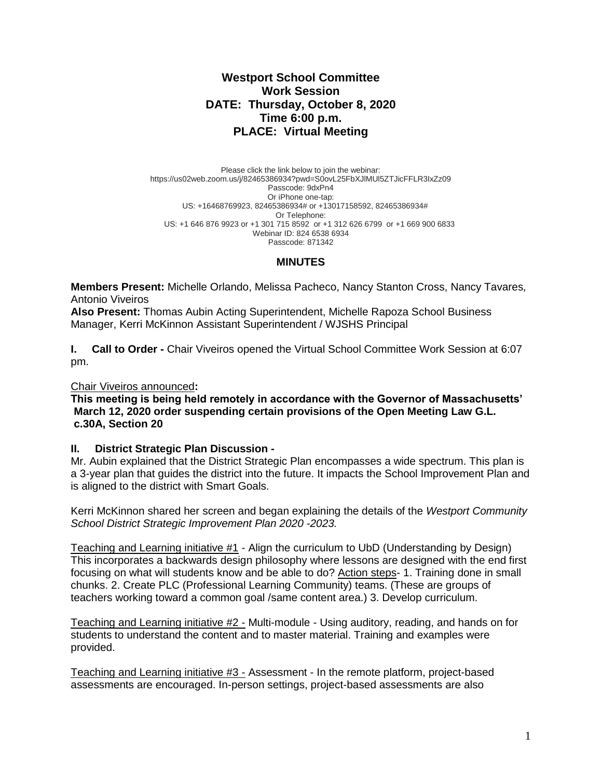# **Westport School Committee Work Session DATE: Thursday, October 8, 2020 Time 6:00 p.m. PLACE: Virtual Meeting**

Please click the link below to join the webinar: https://us02web.zoom.us/j/82465386934?pwd=S0ovL25FbXJlMUl5ZTJicFFLR3IxZz09 Passcode: 9dxPn4 Or iPhone one-tap: US: +16468769923, 82465386934# or +13017158592, 82465386934# Or Telephone: US: +1 646 876 9923 or +1 301 715 8592 or +1 312 626 6799 or +1 669 900 6833 Webinar ID: 824 6538 6934 Passcode: 871342

# **MINUTES**

**Members Present:** Michelle Orlando, Melissa Pacheco, Nancy Stanton Cross, Nancy Tavares*,*  Antonio Viveiros

**Also Present:** Thomas Aubin Acting Superintendent, Michelle Rapoza School Business Manager, Kerri McKinnon Assistant Superintendent / WJSHS Principal

**I. Call to Order -** Chair Viveiros opened the Virtual School Committee Work Session at 6:07 pm.

#### Chair Viveiros announced**:**

**This meeting is being held remotely in accordance with the Governor of Massachusetts' March 12, 2020 order suspending certain provisions of the Open Meeting Law G.L. c.30A, Section 20**

## **II. District Strategic Plan Discussion -**

Mr. Aubin explained that the District Strategic Plan encompasses a wide spectrum. This plan is a 3-year plan that guides the district into the future. It impacts the School Improvement Plan and is aligned to the district with Smart Goals.

Kerri McKinnon shared her screen and began explaining the details of the *Westport Community School District Strategic Improvement Plan 2020 -2023.*

Teaching and Learning initiative #1 - Align the curriculum to UbD (Understanding by Design) This incorporates a backwards design philosophy where lessons are designed with the end first focusing on what will students know and be able to do? Action steps- 1. Training done in small chunks. 2. Create PLC (Professional Learning Community) teams. (These are groups of teachers working toward a common goal /same content area.) 3. Develop curriculum.

Teaching and Learning initiative #2 - Multi-module - Using auditory, reading, and hands on for students to understand the content and to master material. Training and examples were provided.

Teaching and Learning initiative #3 - Assessment - In the remote platform, project-based assessments are encouraged. In-person settings, project-based assessments are also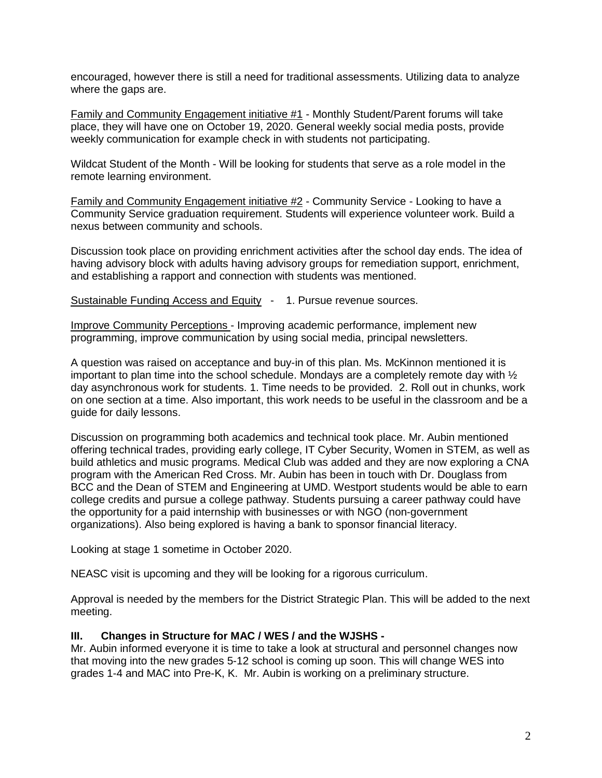encouraged, however there is still a need for traditional assessments. Utilizing data to analyze where the gaps are.

Family and Community Engagement initiative #1 - Monthly Student/Parent forums will take place, they will have one on October 19, 2020. General weekly social media posts, provide weekly communication for example check in with students not participating.

Wildcat Student of the Month - Will be looking for students that serve as a role model in the remote learning environment.

Family and Community Engagement initiative #2 - Community Service - Looking to have a Community Service graduation requirement. Students will experience volunteer work. Build a nexus between community and schools.

Discussion took place on providing enrichment activities after the school day ends. The idea of having advisory block with adults having advisory groups for remediation support, enrichment, and establishing a rapport and connection with students was mentioned.

Sustainable Funding Access and Equity - 1. Pursue revenue sources.

Improve Community Perceptions - Improving academic performance, implement new programming, improve communication by using social media, principal newsletters.

A question was raised on acceptance and buy-in of this plan. Ms. McKinnon mentioned it is important to plan time into the school schedule. Mondays are a completely remote day with  $\frac{1}{2}$ day asynchronous work for students. 1. Time needs to be provided. 2. Roll out in chunks, work on one section at a time. Also important, this work needs to be useful in the classroom and be a guide for daily lessons.

Discussion on programming both academics and technical took place. Mr. Aubin mentioned offering technical trades, providing early college, IT Cyber Security, Women in STEM, as well as build athletics and music programs. Medical Club was added and they are now exploring a CNA program with the American Red Cross. Mr. Aubin has been in touch with Dr. Douglass from BCC and the Dean of STEM and Engineering at UMD. Westport students would be able to earn college credits and pursue a college pathway. Students pursuing a career pathway could have the opportunity for a paid internship with businesses or with NGO (non-government organizations). Also being explored is having a bank to sponsor financial literacy.

Looking at stage 1 sometime in October 2020.

NEASC visit is upcoming and they will be looking for a rigorous curriculum.

Approval is needed by the members for the District Strategic Plan. This will be added to the next meeting.

## **III. Changes in Structure for MAC / WES / and the WJSHS -**

Mr. Aubin informed everyone it is time to take a look at structural and personnel changes now that moving into the new grades 5-12 school is coming up soon. This will change WES into grades 1-4 and MAC into Pre-K, K. Mr. Aubin is working on a preliminary structure.